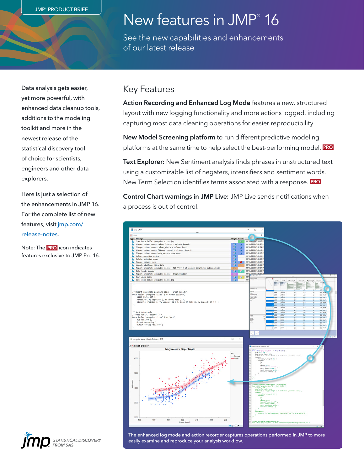# New features in JMP® 16

See the new capabilities and enhancements of our latest release

Data analysis gets easier, yet more powerful, with enhanced data cleanup tools, additions to the modeling toolkit and more in the newest release of the statistical discovery tool of choice for scientists, engineers and other data explorers.

Here is just a selection of the enhancements in JMP 16. For the complete list of new features, visit [jmp.com/](https://www.jmp.com/release-notes) [release-notes.](https://www.jmp.com/release-notes)

Note: The PRO icon indicates features exclusive to JMP Pro 16.

#### Key Features

Action Recording and Enhanced Log Mode features a new, structured layout with new logging functionality and more actions logged, including capturing most data cleaning operations for easier reproducibility.

New Model Screening platform to run different predictive modeling platforms at the same time to help select the best-performing model. PRO

Text Explorer: New Sentiment analysis finds phrases in unstructured text using a customizable list of negaters, intensifiers and sentiment words. New Term Selection identifies terms associated with a response. PRO

Control Chart warnings in JMP Live: JMP Live sends notifications when a process is out of control.



The enhanced log mode and action recorder captures operations performed in JMP to more easily examine and reproduce your analysis workflow.

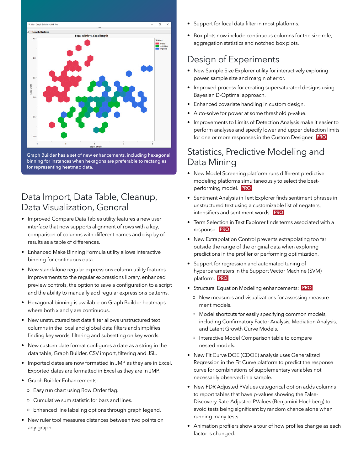

Graph Builder has a set of new enhancements, including hexagonal binning for instances when hexagons are preferable to rectangles for representing heatmap data.

#### Data Import, Data Table, Cleanup, Data Visualization, General

- Improved Compare Data Tables utility features a new user interface that now supports alignment of rows with a key, comparison of columns with different names and display of results as a table of differences.
- Enhanced Make Binning Formula utility allows interactive binning for continuous data.
- New standalone regular expressions column utility features improvements to the regular expressions library, enhanced preview controls, the option to save a configuration to a script and the ability to manually add regular expressions patterns.
- Hexagonal binning is available on Graph Builder heatmaps where both x and y are continuous.
- New unstructured text data filter allows unstructured text columns in the local and global data filters and simplifies finding key words, filtering and subsetting on key words.
- New custom date format configures a date as a string in the data table, Graph Builder, CSV import, filtering and JSL.
- Imported dates are now formatted in JMP as they are in Excel. Exported dates are formatted in Excel as they are in JMP.
- Graph Builder Enhancements:
	- o Easy run chart using Row Order flag.
	- o Cumulative sum statistic for bars and lines.
	- o Enhanced line labeling options through graph legend.
- New ruler tool measures distances between two points on any graph.
- Support for local data filter in most platforms.
- Box plots now include continuous columns for the size role, aggregation statistics and notched box plots.

### Design of Experiments

- New Sample Size Explorer utility for interactively exploring power, sample size and margin of error.
- Improved process for creating supersaturated designs using Bayesian D-Optimal approach.
- Enhanced covariate handling in custom design.
- Auto-solve for power at some threshold p-value.
- Improvements to Limits of Detection Analysis make it easier to perform analyses and specify lower and upper detection limits for one or more responses in the Custom Designer. PRO

### Statistics, Predictive Modeling and Data Mining

- New Model Screening platform runs different predictive modeling platforms simultaneously to select the bestperforming model. PRO
- Sentiment Analysis in Text Explorer finds sentiment phrases in unstructured text using a customizable list of negaters, intensifiers and sentiment words. PRO
- Term Selection in Text Explorer finds terms associated with a response. PRO
- New Extrapolation Control prevents extrapolating too far outside the range of the original data when exploring predictions in the profiler or performing optimization.
- Support for regression and automated tuning of hyperparameters in the Support Vector Machine (SVM) platform. PRO
- Structural Equation Modeling enhancements: PRO
	- o New measures and visualizations for assessing measurement models.
	- o Model shortcuts for easily specifying common models, including Confirmatory Factor Analysis, Mediation Analysis, and Latent Growth Curve Models.
	- o Interactive Model Comparison table to compare nested models.
- New Fit Curve DOE (CDOE) analysis uses Generalized Regression in the Fit Curve platform to predict the response curve for combinations of supplementary variables not necessarily observed in a sample.
- New FDR Adjusted PValues categorical option adds columns to report tables that have p-values showing the False-Discovery-Rate-Adjusted PValues (Benjamini-Hochberg) to avoid tests being significant by random chance alone when running many tests.
- Animation profilers show a tour of how profiles change as each factor is changed.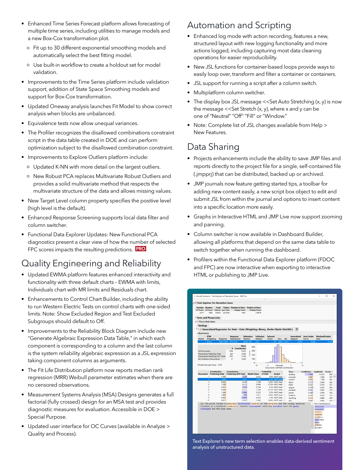- Enhanced Time Series Forecast platform allows forecasting of multiple time series, including utilities to manage models and a new Box-Cox transformation plot.
	- o Fit up to 30 different exponential smoothing models and automatically select the best fitting model.
	- o Use built-in workflow to create a holdout set for model validation.
- Improvements to the Time Series platform include validation support, addition of State Space Smoothing models and support for Box-Cox transformation.
- Updated Oneway analysis launches Fit Model to show correct analysis when blocks are unbalanced.
- Equivalence tests now allow unequal variances.
- The Profiler recognizes the disallowed combinations constraint script in the data table created in DOE and can perform optimization subject to the disallowed combination constraint.
- Improvements to Explore Outliers platform include:
	- o Updated K-NN with more detail on the largest outliers.
	- o New Robust PCA replaces Multivariate Robust Outliers and provides a solid multivariate method that respects the multivariate structure of the data and allows missing values.
- New Target Level column property specifies the positive level (high level is the default).
- Enhanced Response Screening supports local data filter and column switcher.
- Functional Data Explorer Updates: New Functional PCA diagnostics present a clear view of how the number of selected FPC scores impacts the resulting predictions. **PRO**

### Quality Engineering and Reliability

- Updated EWMA platform features enhanced interactivity and functionality with three default charts – EWMA with limits, Individuals chart with MR limits and Residuals chart.
- Enhancements to Control Chart Builder, including the ability to run Western Electric Tests on control charts with one-sided limits. Note: Show Excluded Region and Test Excluded Subgroups should default to Off.
- Improvements to the Reliability Block Diagram include new "Generate Algebraic Expression Data Table," in which each component is corresponding to a column and the last column is the system reliability algebraic expression as a JSL expression taking component columns as arguments.
- The Fit Life Distribution platform now reports median rank regression (MRR) Weibull parameter estimates when there are no censored observations.
- Measurement Systems Analysis (MSA) Designs generates a full factorial (fully crossed) design for an MSA test and provides diagnostic measures for evaluation. Accessible in DOE > Special Purpose.
- Updated user interface for OC Curves (available in Analyze > Quality and Process).

### Automation and Scripting

- Enhanced log mode with action recording, features a new, structured layout with new logging functionality and more actions logged, including capturing most data cleaning operations for easier reproducibility.
- New JSL functions for container-based loops provide ways to easily loop over, transform and filter a container or containers.
- JSL support for running a script after a column switch.
- Multiplatform column switcher.
- The display box JSL message << Set Auto Stretching (x, y) is now the message  $<<$ Set Stretch  $(x, y)$ , where x and y can be one of "Neutral" "Off" "Fill" or "Window."
- Note: Complete list of JSL changes available from Help > New Features.

### Data Sharing

- Projects enhancements include the ability to save JMP files and reports directly to the project file for a single, self-contained file (.jmpprj) that can be distributed, backed up or archived.
- JMP journals now feature getting started tips, a toolbar for adding new content easily, a new script box object to edit and submit JSL from within the journal and options to insert content into a specific location more easily.
- Graphs in Interactive HTML and JMP Live now support zooming and panning.
- Column switcher is now available in Dashboard Builder, allowing all platforms that depend on the same data table to switch together when running the dashboard.
- Profilers within the Functional Data Explorer platform (FDOC and FPC) are now interactive when exporting to interactive HTML or publishing to JMP Live.



Text Explorer's new term selection enables data-derived sentiment analysis of unstructured data.